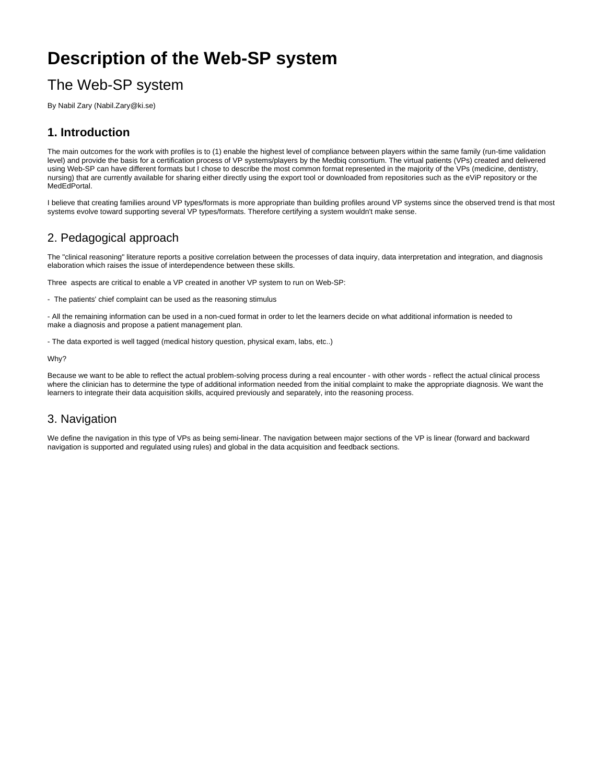# **Description of the Web-SP system**

## The Web-SP system

By Nabil Zary (Nabil.Zary@ki.se)

### **1. Introduction**

The main outcomes for the work with profiles is to (1) enable the highest level of compliance between players within the same family (run-time validation level) and provide the basis for a certification process of VP systems/players by the Medbiq consortium. The virtual patients (VPs) created and delivered using Web-SP can have different formats but I chose to describe the most common format represented in the majority of the VPs (medicine, dentistry, nursing) that are currently available for sharing either directly using the export tool or downloaded from repositories such as the eViP repository or the MedEdPortal.

I believe that creating families around VP types/formats is more appropriate than building profiles around VP systems since the observed trend is that most systems evolve toward supporting several VP types/formats. Therefore certifying a system wouldn't make sense.

#### 2. Pedagogical approach

The "clinical reasoning" literature reports a positive correlation between the processes of data inquiry, data interpretation and integration, and diagnosis elaboration which raises the issue of interdependence between these skills.

Three aspects are critical to enable a VP created in another VP system to run on Web-SP:

- The patients' chief complaint can be used as the reasoning stimulus

- All the remaining information can be used in a non-cued format in order to let the learners decide on what additional information is needed to make a diagnosis and propose a patient management plan.

- The data exported is well tagged (medical history question, physical exam, labs, etc..)

Why?

Because we want to be able to reflect the actual problem-solving process during a real encounter - with other words - reflect the actual clinical process where the clinician has to determine the type of additional information needed from the initial complaint to make the appropriate diagnosis. We want the learners to integrate their data acquisition skills, acquired previously and separately, into the reasoning process.

#### 3. Navigation

We define the navigation in this type of VPs as being semi-linear. The navigation between major sections of the VP is linear (forward and backward navigation is supported and regulated using rules) and global in the data acquisition and feedback sections.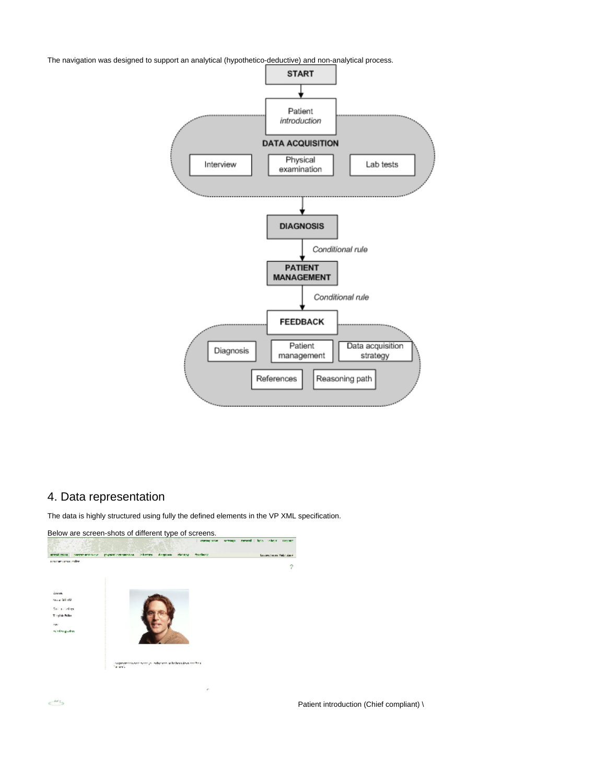The navigation was designed to support an analytical (hypothetico-deductive) and non-analytical process.



#### 4. Data representation

The data is highly structured using fully the defined elements in the VP XML specification.



Patient introduction (Chief compliant) \

 $e^{i\theta\xi_0}$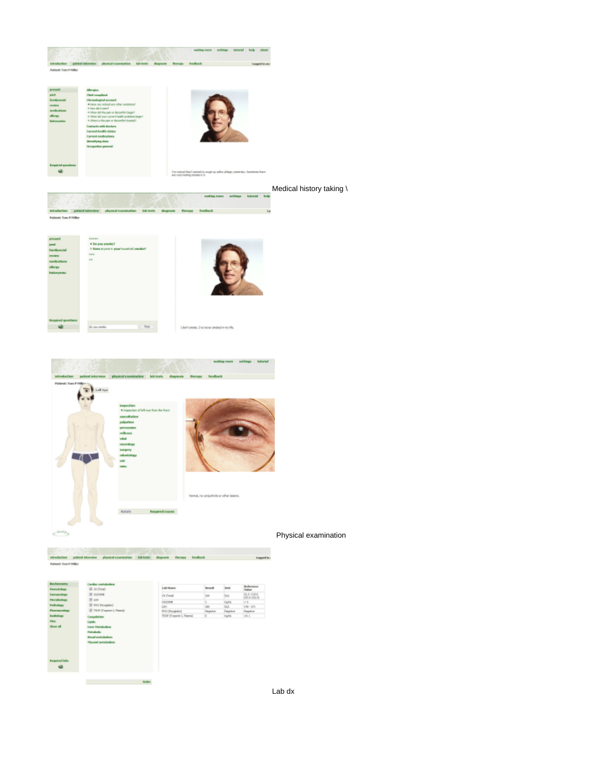